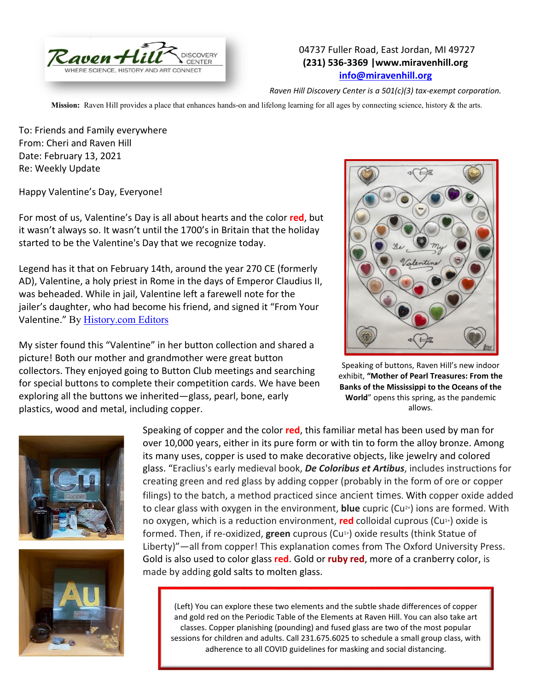

## 04737 Fuller Road, East Jordan, MI 49727 **(231) 536-3369 |www.miravenhill.org [info@miravenhill.org](mailto:info@miravenhill.org)**

*Raven Hill Discovery Center is a 501(c)(3) tax-exempt corporation.*

**Mission:** Raven Hill provides a place that enhances hands-on and lifelong learning for all ages by connecting science, history & the arts.

To: Friends and Family everywhere From: Cheri and Raven Hill Date: February 13, 2021 Re: Weekly Update

Happy Valentine's Day, Everyone!

For most of us, Valentine's Day is all about hearts and the color **red**, but it wasn't always so. It wasn't until the 1700's in Britain that the holiday started to be the Valentine's Day that we recognize today.

Legend has it that on February 14th, around the year 270 CE (formerly AD), Valentine, a holy priest in Rome in the days of Emperor Claudius II, was beheaded. While in jail, Valentine left a farewell note for the jailer's daughter, who had become his friend, and signed it "From Your Valentine." By [History.com Editors](https://www.history.com/author/history)

My sister found this "Valentine" in her button collection and shared a picture! Both our mother and grandmother were great button collectors. They enjoyed going to Button Club meetings and searching for special buttons to complete their competition cards. We have been exploring all the buttons we inherited—glass, pearl, bone, early plastics, wood and metal, including copper.



Speaking of buttons, Raven Hill's new indoor exhibit, **"Mother of Pearl Treasures: From the Banks of the Mississippi to the Oceans of the World**" opens this spring, as the pandemic allows.





Speaking of copper and the color **red**, this familiar metal has been used by man for over 10,000 years, either in its pure form or with tin to form the alloy bronze. Among its many uses, copper is used to make decorative objects, like jewelry and colored glass. "Eraclius's early medieval book, *De Coloribus et Artibus*, includes instructions for creating green and red glass by adding copper (probably in the form of ore or copper filings) to the batch, a method practiced since ancient times. With copper oxide added to clear glass with oxygen in the environment, **blue** cupric (Cu2+) ions are formed. With no oxygen, which is a reduction environment, **red** colloidal cuprous (Cu<sup>1+</sup>) oxide is formed. Then, if re-oxidized, **green** cuprous (Cu1+) oxide results (think Statue of Liberty)"—all from copper! This explanation comes from The Oxford University Press. Gold is also used to color glass **red**. Gold or **ruby red**, more of a cranberry color, is made by adding gold [salts](https://en.m.wikipedia.org/wiki/Gold_salts) to molten glass.

(Left) You can explore these two elements and the subtle shade differences of copper and gold red on the Periodic Table of the Elements at Raven Hill. You can also take art classes. Copper planishing (pounding) and fused glass are two of the most popular sessions for children and adults. Call 231.675.6025 to schedule a small group class, with adherence to all COVID guidelines for masking and social distancing.